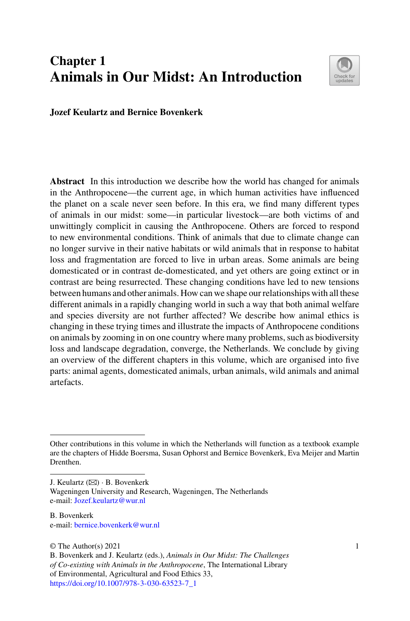# **Chapter 1 Animals in Our Midst: An Introduction**



**Jozef Keulartz and Bernice Bovenkerk**

**Abstract** In this introduction we describe how the world has changed for animals in the Anthropocene—the current age, in which human activities have influenced the planet on a scale never seen before. In this era, we find many different types of animals in our midst: some—in particular livestock—are both victims of and unwittingly complicit in causing the Anthropocene. Others are forced to respond to new environmental conditions. Think of animals that due to climate change can no longer survive in their native habitats or wild animals that in response to habitat loss and fragmentation are forced to live in urban areas. Some animals are being domesticated or in contrast de-domesticated, and yet others are going extinct or in contrast are being resurrected. These changing conditions have led to new tensions between humans and other animals. How can we shape our relationships with all these different animals in a rapidly changing world in such a way that both animal welfare and species diversity are not further affected? We describe how animal ethics is changing in these trying times and illustrate the impacts of Anthropocene conditions on animals by zooming in on one country where many problems, such as biodiversity loss and landscape degradation, converge, the Netherlands. We conclude by giving an overview of the different chapters in this volume, which are organised into five parts: animal agents, domesticated animals, urban animals, wild animals and animal artefacts.

J. Keulartz  $(\boxtimes) \cdot B$ . Bovenkerk

B. Bovenkerk e-mail: [bernice.bovenkerk@wur.nl](mailto:bernice.bovenkerk@wur.nl)

Other contributions in this volume in which the Netherlands will function as a textbook example are the chapters of Hidde Boersma, Susan Ophorst and Bernice Bovenkerk, Eva Meijer and Martin Drenthen.

Wageningen University and Research, Wageningen, The Netherlands e-mail: [Jozef.keulartz@wur.nl](mailto:Jozef.keulartz@wur.nl)

<sup>©</sup> The Author(s) 2021

B. Bovenkerk and J. Keulartz (eds.), *Animals in Our Midst: The Challenges of Co-existing with Animals in the Anthropocene*, The International Library of Environmental, Agricultural and Food Ethics 33, [https://doi.org/10.1007/978-3-030-63523-7\\_1](https://doi.org/10.1007/978-3-030-63523-7_1)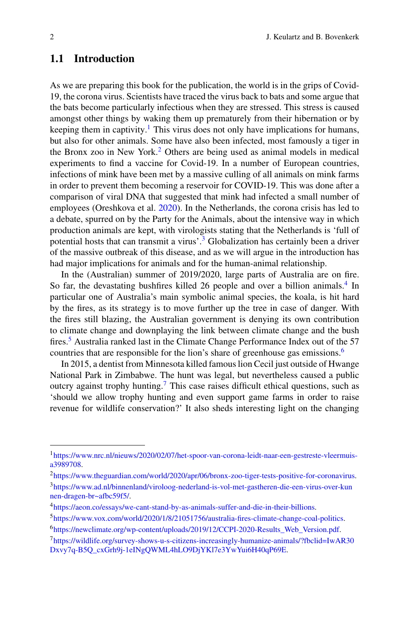## **1.1 Introduction**

As we are preparing this book for the publication, the world is in the grips of Covid-19, the corona virus. Scientists have traced the virus back to bats and some argue that the bats become particularly infectious when they are stressed. This stress is caused amongst other things by waking them up prematurely from their hibernation or by keeping them in captivity.<sup>[1](#page-1-0)</sup> This virus does not only have implications for humans, but also for other animals. Some have also been infected, most famously a tiger in the Bronx zoo in New York.<sup>[2](#page-1-1)</sup> Others are being used as animal models in medical experiments to find a vaccine for Covid-19. In a number of European countries, infections of mink have been met by a massive culling of all animals on mink farms in order to prevent them becoming a reservoir for COVID-19. This was done after a comparison of viral DNA that suggested that mink had infected a small number of employees (Oreshkova et al. [2020\)](#page-23-0). In the Netherlands, the corona crisis has led to a debate, spurred on by the Party for the Animals, about the intensive way in which production animals are kept, with virologists stating that the Netherlands is 'full of potential hosts that can transmit a virus'.[3](#page-1-2) Globalization has certainly been a driver of the massive outbreak of this disease, and as we will argue in the introduction has had major implications for animals and for the human-animal relationship.

In the (Australian) summer of 2019/2020, large parts of Australia are on fire. So far, the devastating bushfires killed 26 people and over a billion animals.<sup>4</sup> In particular one of Australia's main symbolic animal species, the koala, is hit hard by the fires, as its strategy is to move further up the tree in case of danger. With the fires still blazing, the Australian government is denying its own contribution to climate change and downplaying the link between climate change and the bush fires.<sup>5</sup> Australia ranked last in the Climate Change Performance Index out of the 57 countries that are responsible for the lion's share of greenhouse gas emissions.<sup>6</sup>

In 2015, a dentist from Minnesota killed famous lion Cecil just outside of Hwange National Park in Zimbabwe. The hunt was legal, but nevertheless caused a public outcry against trophy hunting.<sup>7</sup> This case raises difficult ethical questions, such as 'should we allow trophy hunting and even support game farms in order to raise revenue for wildlife conservation?' It also sheds interesting light on the changing

<span id="page-1-1"></span><span id="page-1-0"></span>[<sup>1</sup>https://www.nrc.nl/nieuws/2020/02/07/het-spoor-van-corona-leidt-naar-een-gestreste-vleermuis](https://www.nrc.nl/nieuws/2020/02/07/het-spoor-van-corona-leidt-naar-een-gestreste-vleermuis-a3989708)a3989708.

<span id="page-1-2"></span>[<sup>2</sup>https://www.theguardian.com/world/2020/apr/06/bronx-zoo-tiger-tests-positive-for-coronavirus.](https://www.theguardian.com/world/2020/apr/06/bronx-zoo-tiger-tests-positive-for-coronavirus) [3https://www.ad.nl/binnenland/viroloog-nederland-is-vol-met-gastheren-die-een-virus-over-kun](https://www.ad.nl/binnenland/viroloog-nederland-is-vol-met-gastheren-die-een-virus-over-kunnen-dragen-br%7eafbc59f5/) nen-dragen-br~afbc59f5/.

<span id="page-1-4"></span><span id="page-1-3"></span>[<sup>4</sup>https://aeon.co/essays/we-cant-stand-by-as-animals-suffer-and-die-in-their-billions.](https://aeon.co/essays/we-cant-stand-by-as-animals-suffer-and-die-in-their-billions)

<span id="page-1-5"></span>[<sup>5</sup>https://www.vox.com/world/2020/1/8/21051756/australia-fires-climate-change-coal-politics.](https://www.vox.com/world/2020/1/8/21051756/australia-fires-climate-change-coal-politics)

<span id="page-1-6"></span>[<sup>6</sup>https://newclimate.org/wp-content/uploads/2019/12/CCPI-2020-Results\\_Web\\_Version.pdf.](https://newclimate.org/wp-content/uploads/2019/12/CCPI-2020-Results_Web_Version.pdf)

[<sup>7</sup>https://wildlife.org/survey-shows-u-s-citizens-increasingly-humanize-animals/?fbclid=IwAR30](https://wildlife.org/survey-shows-u-s-citizens-increasingly-humanize-animals/%3ffbclid%e2%80%89%3d%e2%80%89IwAR30Dxvy7q-B5Q_cxGrh9j-1eINgQWML4hLO9DjYKl7e3YwYui6H40qP69E) Dxvy7q-B5Q\_cxGrh9j-1eINgQWML4hLO9DjYKl7e3YwYui6H40qP69E.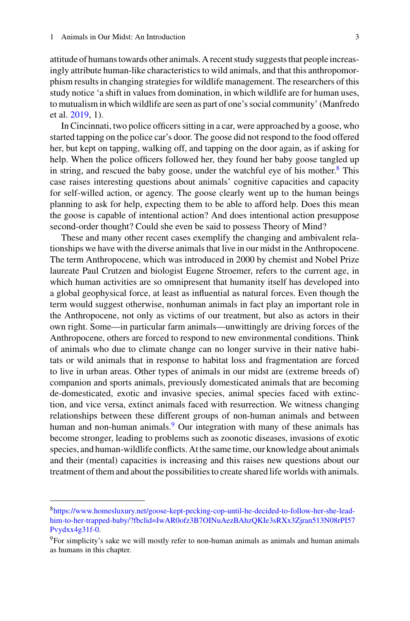attitude of humans towards other animals. A recent study suggests that people increasingly attribute human-like characteristics to wild animals, and that this anthropomorphism results in changing strategies for wildlife management. The researchers of this study notice 'a shift in values from domination, in which wildlife are for human uses, to mutualism in which wildlife are seen as part of one's social community' (Manfredo et al. [2019,](#page-23-1) 1).

In Cincinnati, two police officers sitting in a car, were approached by a goose, who started tapping on the police car's door. The goose did not respond to the food offered her, but kept on tapping, walking off, and tapping on the door again, as if asking for help. When the police officers followed her, they found her baby goose tangled up in string, and rescued the baby goose, under the watchful eye of his mother. $8$  This case raises interesting questions about animals' cognitive capacities and capacity for self-willed action, or agency. The goose clearly went up to the human beings planning to ask for help, expecting them to be able to afford help. Does this mean the goose is capable of intentional action? And does intentional action presuppose second-order thought? Could she even be said to possess Theory of Mind?

These and many other recent cases exemplify the changing and ambivalent relationships we have with the diverse animals that live in our midst in the Anthropocene. The term Anthropocene, which was introduced in 2000 by chemist and Nobel Prize laureate Paul Crutzen and biologist Eugene Stroemer, refers to the current age, in which human activities are so omnipresent that humanity itself has developed into a global geophysical force, at least as influential as natural forces. Even though the term would suggest otherwise, nonhuman animals in fact play an important role in the Anthropocene, not only as victims of our treatment, but also as actors in their own right. Some—in particular farm animals—unwittingly are driving forces of the Anthropocene, others are forced to respond to new environmental conditions. Think of animals who due to climate change can no longer survive in their native habitats or wild animals that in response to habitat loss and fragmentation are forced to live in urban areas. Other types of animals in our midst are (extreme breeds of) companion and sports animals, previously domesticated animals that are becoming de-domesticated, exotic and invasive species, animal species faced with extinction, and vice versa, extinct animals faced with resurrection. We witness changing relationships between these different groups of non-human animals and between human and non-human animals.<sup>[9](#page-2-1)</sup> Our integration with many of these animals has become stronger, leading to problems such as zoonotic diseases, invasions of exotic species, and human-wildlife conflicts. At the same time, our knowledge about animals and their (mental) capacities is increasing and this raises new questions about our treatment of them and about the possibilities to create shared life worlds with animals.

<span id="page-2-0"></span>[<sup>8</sup>https://www.homesluxury.net/goose-kept-pecking-cop-until-he-decided-to-follow-her-she-lead](https://www.homesluxury.net/goose-kept-pecking-cop-until-he-decided-to-follow-her-she-lead-him-to-her-trapped-baby/%3ffbclid%e2%80%89%3d%e2%80%89IwAR0ofz3B7OINuAezBAhzQKIe3sRXx3Zjran513N08rPI57Pvydxx4g31f-0)him-to-her-trapped-baby/?fbclid=IwAR0ofz3B7OINuAezBAhzQKIe3sRXx3Zjran513N08rPI57 Pvydxx4g31f-0.

<span id="page-2-1"></span><sup>9</sup>For simplicity's sake we will mostly refer to non-human animals as animals and human animals as humans in this chapter.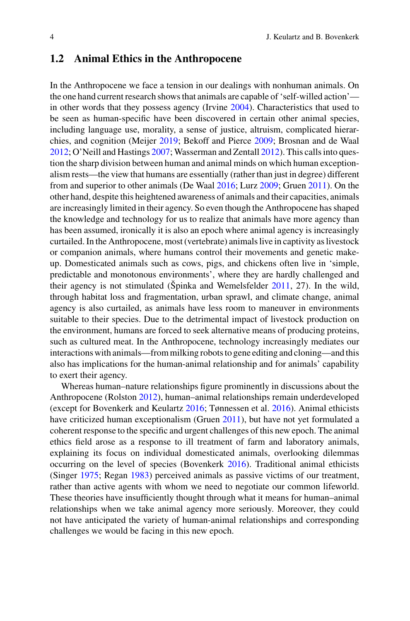#### **1.2 Animal Ethics in the Anthropocene**

In the Anthropocene we face a tension in our dealings with nonhuman animals. On the one hand current research shows that animals are capable of 'self-willed action' in other words that they possess agency (Irvine [2004\)](#page-23-2). Characteristics that used to be seen as human-specific have been discovered in certain other animal species, including language use, morality, a sense of justice, altruism, complicated hierarchies, and cognition (Meijer [2019;](#page-23-3) Bekoff and Pierce [2009;](#page-22-0) Brosnan and de Waal [2012;](#page-22-1) O'Neill and Hastings [2007;](#page-23-4) Wasserman and Zentall [2012\)](#page-24-0). This calls into question the sharp division between human and animal minds on which human exceptionalism rests—the view that humans are essentially (rather than just in degree) different from and superior to other animals (De Waal [2016;](#page-22-2) Lurz [2009;](#page-23-5) Gruen [2011\)](#page-23-6). On the other hand, despite this heightened awareness of animals and their capacities, animals are increasingly limited in their agency. So even though the Anthropocene has shaped the knowledge and technology for us to realize that animals have more agency than has been assumed, ironically it is also an epoch where animal agency is increasingly curtailed. In the Anthropocene, most (vertebrate) animals live in captivity as livestock or companion animals, where humans control their movements and genetic makeup. Domesticated animals such as cows, pigs, and chickens often live in 'simple, predictable and monotonous environments', where they are hardly challenged and their agency is not stimulated (Špinka and Wemelsfelder [2011,](#page-23-7) 27). In the wild, through habitat loss and fragmentation, urban sprawl, and climate change, animal agency is also curtailed, as animals have less room to maneuver in environments suitable to their species. Due to the detrimental impact of livestock production on the environment, humans are forced to seek alternative means of producing proteins, such as cultured meat. In the Anthropocene, technology increasingly mediates our interactions with animals—from milking robots to gene editing and cloning—and this also has implications for the human-animal relationship and for animals' capability to exert their agency.

Whereas human–nature relationships figure prominently in discussions about the Anthropocene (Rolston [2012\)](#page-23-8), human–animal relationships remain underdeveloped (except for Bovenkerk and Keulartz [2016;](#page-22-3) Tønnessen et al. [2016\)](#page-23-9). Animal ethicists have criticized human exceptionalism (Gruen [2011\)](#page-23-6), but have not yet formulated a coherent response to the specific and urgent challenges of this new epoch. The animal ethics field arose as a response to ill treatment of farm and laboratory animals, explaining its focus on individual domesticated animals, overlooking dilemmas occurring on the level of species (Bovenkerk [2016\)](#page-22-4). Traditional animal ethicists (Singer [1975;](#page-23-10) Regan [1983\)](#page-23-11) perceived animals as passive victims of our treatment, rather than active agents with whom we need to negotiate our common lifeworld. These theories have insufficiently thought through what it means for human–animal relationships when we take animal agency more seriously. Moreover, they could not have anticipated the variety of human-animal relationships and corresponding challenges we would be facing in this new epoch.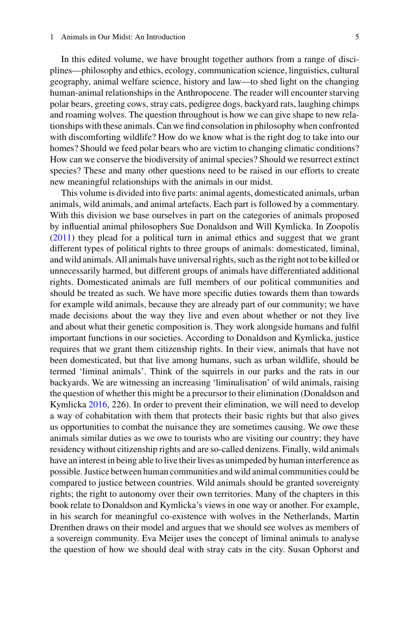In this edited volume, we have brought together authors from a range of disciplines—philosophy and ethics, ecology, communication science, linguistics, cultural geography, animal welfare science, history and law—to shed light on the changing human-animal relationships in the Anthropocene. The reader will encounter starving polar bears, greeting cows, stray cats, pedigree dogs, backyard rats, laughing chimps and roaming wolves. The question throughout is how we can give shape to new relationships with these animals. Can we find consolation in philosophy when confronted with discomforting wildlife? How do we know what is the right dog to take into our homes? Should we feed polar bears who are victim to changing climatic conditions? How can we conserve the biodiversity of animal species? Should we resurrect extinct species? These and many other questions need to be raised in our efforts to create new meaningful relationships with the animals in our midst.

This volume is divided into five parts: animal agents, domesticated animals, urban animals, wild animals, and animal artefacts. Each part is followed by a commentary. With this division we base ourselves in part on the categories of animals proposed by influential animal philosophers Sue Donaldson and Will Kymlicka. In Zoopolis [\(2011\)](#page-22-5) they plead for a political turn in animal ethics and suggest that we grant different types of political rights to three groups of animals: domesticated, liminal, and wild animals. All animals have universal rights, such as the right not to be killed or unnecessarily harmed, but different groups of animals have differentiated additional rights. Domesticated animals are full members of our political communities and should be treated as such. We have more specific duties towards them than towards for example wild animals, because they are already part of our community; we have made decisions about the way they live and even about whether or not they live and about what their genetic composition is. They work alongside humans and fulfil important functions in our societies. According to Donaldson and Kymlicka, justice requires that we grant them citizenship rights. In their view, animals that have not been domesticated, but that live among humans, such as urban wildlife, should be termed 'liminal animals'. Think of the squirrels in our parks and the rats in our backyards. We are witnessing an increasing 'liminalisation' of wild animals, raising the question of whether this might be a precursor to their elimination (Donaldson and Kymlicka [2016,](#page-23-12) 226). In order to prevent their elimination, we will need to develop a way of cohabitation with them that protects their basic rights but that also gives us opportunities to combat the nuisance they are sometimes causing. We owe these animals similar duties as we owe to tourists who are visiting our country; they have residency without citizenship rights and are so-called denizens. Finally, wild animals have an interest in being able to live their lives as unimpeded by human interference as possible. Justice between human communities and wild animal communities could be compared to justice between countries. Wild animals should be granted sovereignty rights; the right to autonomy over their own territories. Many of the chapters in this book relate to Donaldson and Kymlicka's views in one way or another. For example, in his search for meaningful co-existence with wolves in the Netherlands, Martin Drenthen draws on their model and argues that we should see wolves as members of a sovereign community. Eva Meijer uses the concept of liminal animals to analyse the question of how we should deal with stray cats in the city. Susan Ophorst and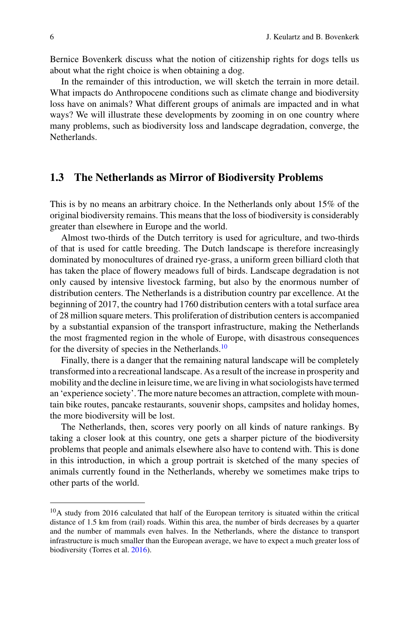Bernice Bovenkerk discuss what the notion of citizenship rights for dogs tells us about what the right choice is when obtaining a dog.

In the remainder of this introduction, we will sketch the terrain in more detail. What impacts do Anthropocene conditions such as climate change and biodiversity loss have on animals? What different groups of animals are impacted and in what ways? We will illustrate these developments by zooming in on one country where many problems, such as biodiversity loss and landscape degradation, converge, the Netherlands.

#### **1.3 The Netherlands as Mirror of Biodiversity Problems**

This is by no means an arbitrary choice. In the Netherlands only about 15% of the original biodiversity remains. This means that the loss of biodiversity is considerably greater than elsewhere in Europe and the world.

Almost two-thirds of the Dutch territory is used for agriculture, and two-thirds of that is used for cattle breeding. The Dutch landscape is therefore increasingly dominated by monocultures of drained rye-grass, a uniform green billiard cloth that has taken the place of flowery meadows full of birds. Landscape degradation is not only caused by intensive livestock farming, but also by the enormous number of distribution centers. The Netherlands is a distribution country par excellence. At the beginning of 2017, the country had 1760 distribution centers with a total surface area of 28 million square meters. This proliferation of distribution centers is accompanied by a substantial expansion of the transport infrastructure, making the Netherlands the most fragmented region in the whole of Europe, with disastrous consequences for the diversity of species in the Netherlands.<sup>[10](#page-5-0)</sup>

Finally, there is a danger that the remaining natural landscape will be completely transformed into a recreational landscape. As a result of the increase in prosperity and mobility and the decline in leisure time, we are living in what sociologists have termed an 'experience society'. The more nature becomes an attraction, complete with mountain bike routes, pancake restaurants, souvenir shops, campsites and holiday homes, the more biodiversity will be lost.

The Netherlands, then, scores very poorly on all kinds of nature rankings. By taking a closer look at this country, one gets a sharper picture of the biodiversity problems that people and animals elsewhere also have to contend with. This is done in this introduction, in which a group portrait is sketched of the many species of animals currently found in the Netherlands, whereby we sometimes make trips to other parts of the world.

<span id="page-5-0"></span><sup>&</sup>lt;sup>10</sup>A study from 2016 calculated that half of the European territory is situated within the critical distance of 1.5 km from (rail) roads. Within this area, the number of birds decreases by a quarter and the number of mammals even halves. In the Netherlands, where the distance to transport infrastructure is much smaller than the European average, we have to expect a much greater loss of biodiversity (Torres et al. [2016\)](#page-24-1).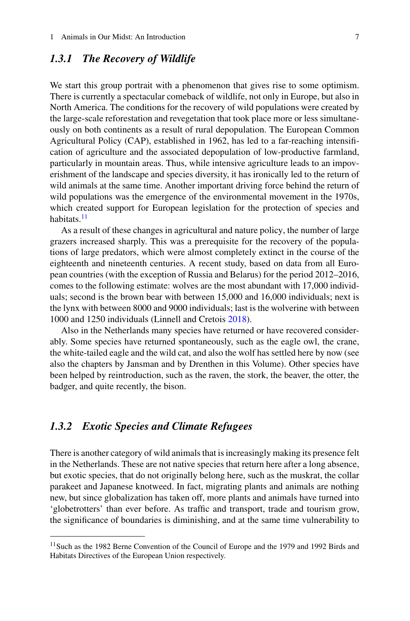#### *1.3.1 The Recovery of Wildlife*

We start this group portrait with a phenomenon that gives rise to some optimism. There is currently a spectacular comeback of wildlife, not only in Europe, but also in North America. The conditions for the recovery of wild populations were created by the large-scale reforestation and revegetation that took place more or less simultaneously on both continents as a result of rural depopulation. The European Common Agricultural Policy (CAP), established in 1962, has led to a far-reaching intensification of agriculture and the associated depopulation of low-productive farmland, particularly in mountain areas. Thus, while intensive agriculture leads to an impoverishment of the landscape and species diversity, it has ironically led to the return of wild animals at the same time. Another important driving force behind the return of wild populations was the emergence of the environmental movement in the 1970s, which created support for European legislation for the protection of species and habitats.[11](#page-6-0)

As a result of these changes in agricultural and nature policy, the number of large grazers increased sharply. This was a prerequisite for the recovery of the populations of large predators, which were almost completely extinct in the course of the eighteenth and nineteenth centuries. A recent study, based on data from all European countries (with the exception of Russia and Belarus) for the period 2012–2016, comes to the following estimate: wolves are the most abundant with 17,000 individuals; second is the brown bear with between 15,000 and 16,000 individuals; next is the lynx with between 8000 and 9000 individuals; last is the wolverine with between 1000 and 1250 individuals (Linnell and Cretois [2018\)](#page-23-13).

Also in the Netherlands many species have returned or have recovered considerably. Some species have returned spontaneously, such as the eagle owl, the crane, the white-tailed eagle and the wild cat, and also the wolf has settled here by now (see also the chapters by Jansman and by Drenthen in this Volume). Other species have been helped by reintroduction, such as the raven, the stork, the beaver, the otter, the badger, and quite recently, the bison.

#### *1.3.2 Exotic Species and Climate Refugees*

There is another category of wild animals that is increasingly making its presence felt in the Netherlands. These are not native species that return here after a long absence, but exotic species, that do not originally belong here, such as the muskrat, the collar parakeet and Japanese knotweed. In fact, migrating plants and animals are nothing new, but since globalization has taken off, more plants and animals have turned into 'globetrotters' than ever before. As traffic and transport, trade and tourism grow, the significance of boundaries is diminishing, and at the same time vulnerability to

<span id="page-6-0"></span><sup>&</sup>lt;sup>11</sup> Such as the 1982 Berne Convention of the Council of Europe and the 1979 and 1992 Birds and Habitats Directives of the European Union respectively.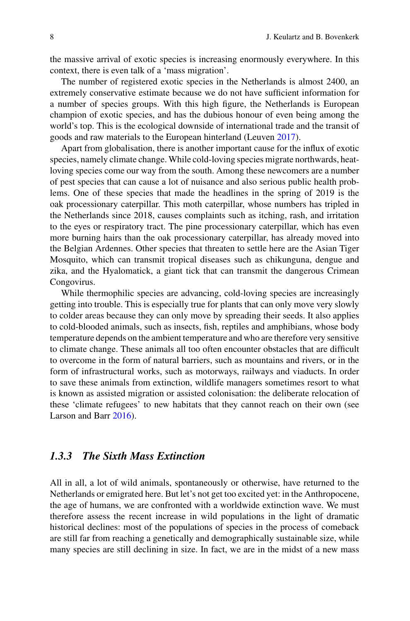the massive arrival of exotic species is increasing enormously everywhere. In this context, there is even talk of a 'mass migration'.

The number of registered exotic species in the Netherlands is almost 2400, an extremely conservative estimate because we do not have sufficient information for a number of species groups. With this high figure, the Netherlands is European champion of exotic species, and has the dubious honour of even being among the world's top. This is the ecological downside of international trade and the transit of goods and raw materials to the European hinterland (Leuven [2017\)](#page-23-14).

Apart from globalisation, there is another important cause for the influx of exotic species, namely climate change. While cold-loving species migrate northwards, heatloving species come our way from the south. Among these newcomers are a number of pest species that can cause a lot of nuisance and also serious public health problems. One of these species that made the headlines in the spring of 2019 is the oak processionary caterpillar. This moth caterpillar, whose numbers has tripled in the Netherlands since 2018, causes complaints such as itching, rash, and irritation to the eyes or respiratory tract. The pine processionary caterpillar, which has even more burning hairs than the oak processionary caterpillar, has already moved into the Belgian Ardennes. Other species that threaten to settle here are the Asian Tiger Mosquito, which can transmit tropical diseases such as chikunguna, dengue and zika, and the Hyalomatick, a giant tick that can transmit the dangerous Crimean Congovirus.

While thermophilic species are advancing, cold-loving species are increasingly getting into trouble. This is especially true for plants that can only move very slowly to colder areas because they can only move by spreading their seeds. It also applies to cold-blooded animals, such as insects, fish, reptiles and amphibians, whose body temperature depends on the ambient temperature and who are therefore very sensitive to climate change. These animals all too often encounter obstacles that are difficult to overcome in the form of natural barriers, such as mountains and rivers, or in the form of infrastructural works, such as motorways, railways and viaducts. In order to save these animals from extinction, wildlife managers sometimes resort to what is known as assisted migration or assisted colonisation: the deliberate relocation of these 'climate refugees' to new habitats that they cannot reach on their own (see Larson and Barr [2016\)](#page-23-15).

#### *1.3.3 The Sixth Mass Extinction*

All in all, a lot of wild animals, spontaneously or otherwise, have returned to the Netherlands or emigrated here. But let's not get too excited yet: in the Anthropocene, the age of humans, we are confronted with a worldwide extinction wave. We must therefore assess the recent increase in wild populations in the light of dramatic historical declines: most of the populations of species in the process of comeback are still far from reaching a genetically and demographically sustainable size, while many species are still declining in size. In fact, we are in the midst of a new mass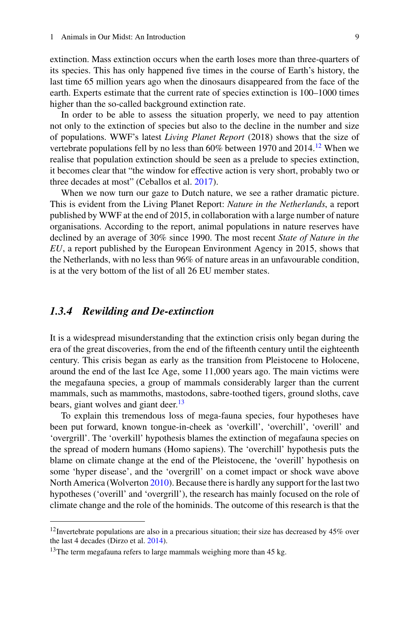extinction. Mass extinction occurs when the earth loses more than three-quarters of its species. This has only happened five times in the course of Earth's history, the last time 65 million years ago when the dinosaurs disappeared from the face of the earth. Experts estimate that the current rate of species extinction is 100–1000 times higher than the so-called background extinction rate.

In order to be able to assess the situation properly, we need to pay attention not only to the extinction of species but also to the decline in the number and size of populations. WWF's latest *Living Planet Report* (2018) shows that the size of vertebrate populations fell by no less than  $60\%$  between 1970 and  $2014<sup>12</sup>$  When we realise that population extinction should be seen as a prelude to species extinction, it becomes clear that "the window for effective action is very short, probably two or three decades at most" (Ceballos et al. [2017\)](#page-22-6).

When we now turn our gaze to Dutch nature, we see a rather dramatic picture. This is evident from the Living Planet Report: *Nature in the Netherlands*, a report published by WWF at the end of 2015, in collaboration with a large number of nature organisations. According to the report, animal populations in nature reserves have declined by an average of 30% since 1990. The most recent *State of Nature in the EU*, a report published by the European Environment Agency in 2015, shows that the Netherlands, with no less than 96% of nature areas in an unfavourable condition, is at the very bottom of the list of all 26 EU member states.

## *1.3.4 Rewilding and De-extinction*

It is a widespread misunderstanding that the extinction crisis only began during the era of the great discoveries, from the end of the fifteenth century until the eighteenth century. This crisis began as early as the transition from Pleistocene to Holocene, around the end of the last Ice Age, some 11,000 years ago. The main victims were the megafauna species, a group of mammals considerably larger than the current mammals, such as mammoths, mastodons, sabre-toothed tigers, ground sloths, cave bears, giant wolves and giant deer.<sup>13</sup>

To explain this tremendous loss of mega-fauna species, four hypotheses have been put forward, known tongue-in-cheek as 'overkill', 'overchill', 'overill' and 'overgrill'. The 'overkill' hypothesis blames the extinction of megafauna species on the spread of modern humans (Homo sapiens). The 'overchill' hypothesis puts the blame on climate change at the end of the Pleistocene, the 'overill' hypothesis on some 'hyper disease', and the 'overgrill' on a comet impact or shock wave above North America (Wolverton [2010\)](#page-24-2). Because there is hardly any support for the last two hypotheses ('overill' and 'overgrill'), the research has mainly focused on the role of climate change and the role of the hominids. The outcome of this research is that the

<span id="page-8-1"></span><span id="page-8-0"></span><sup>&</sup>lt;sup>12</sup>Invertebrate populations are also in a precarious situation; their size has decreased by 45% over the last 4 decades (Dirzo et al. [2014\)](#page-22-7).

<sup>&</sup>lt;sup>13</sup>The term megafauna refers to large mammals weighing more than  $45 \text{ kg}$ .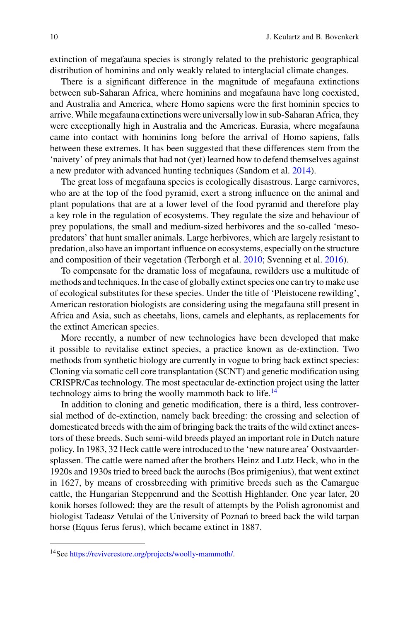extinction of megafauna species is strongly related to the prehistoric geographical distribution of hominins and only weakly related to interglacial climate changes.

There is a significant difference in the magnitude of megafauna extinctions between sub-Saharan Africa, where hominins and megafauna have long coexisted, and Australia and America, where Homo sapiens were the first hominin species to arrive.While megafauna extinctions were universally low in sub-Saharan Africa, they were exceptionally high in Australia and the Americas. Eurasia, where megafauna came into contact with hominins long before the arrival of Homo sapiens, falls between these extremes. It has been suggested that these differences stem from the 'naivety' of prey animals that had not (yet) learned how to defend themselves against a new predator with advanced hunting techniques (Sandom et al. [2014\)](#page-23-16).

The great loss of megafauna species is ecologically disastrous. Large carnivores, who are at the top of the food pyramid, exert a strong influence on the animal and plant populations that are at a lower level of the food pyramid and therefore play a key role in the regulation of ecosystems. They regulate the size and behaviour of prey populations, the small and medium-sized herbivores and the so-called 'mesopredators' that hunt smaller animals. Large herbivores, which are largely resistant to predation, also have an important influence on ecosystems, especially on the structure and composition of their vegetation (Terborgh et al. [2010;](#page-23-17) Svenning et al. [2016\)](#page-23-18).

To compensate for the dramatic loss of megafauna, rewilders use a multitude of methods and techniques. In the case of globally extinct species one can try to make use of ecological substitutes for these species. Under the title of 'Pleistocene rewilding', American restoration biologists are considering using the megafauna still present in Africa and Asia, such as cheetahs, lions, camels and elephants, as replacements for the extinct American species.

More recently, a number of new technologies have been developed that make it possible to revitalise extinct species, a practice known as de-extinction. Two methods from synthetic biology are currently in vogue to bring back extinct species: Cloning via somatic cell core transplantation (SCNT) and genetic modification using CRISPR/Cas technology. The most spectacular de-extinction project using the latter technology aims to bring the woolly mammoth back to life. $14$ 

In addition to cloning and genetic modification, there is a third, less controversial method of de-extinction, namely back breeding: the crossing and selection of domesticated breeds with the aim of bringing back the traits of the wild extinct ancestors of these breeds. Such semi-wild breeds played an important role in Dutch nature policy. In 1983, 32 Heck cattle were introduced to the 'new nature area' Oostvaardersplassen. The cattle were named after the brothers Heinz and Lutz Heck, who in the 1920s and 1930s tried to breed back the aurochs (Bos primigenius), that went extinct in 1627, by means of crossbreeding with primitive breeds such as the Camargue cattle, the Hungarian Steppenrund and the Scottish Highlander. One year later, 20 konik horses followed; they are the result of attempts by the Polish agronomist and biologist Tadeasz Vetulai of the University of Poznań to breed back the wild tarpan horse (Equus ferus ferus), which became extinct in 1887.

<span id="page-9-0"></span><sup>14</sup>See [https://reviverestore.org/projects/woolly-mammoth/.](https://reviverestore.org/projects/woolly-mammoth/)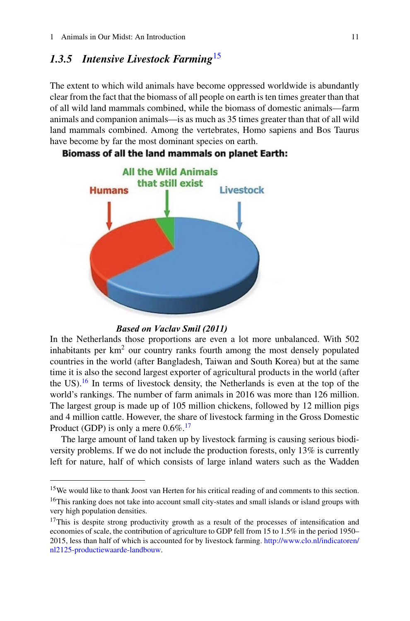## *1.3.5 Intensive Livestock Farming*[15](#page-10-0)

The extent to which wild animals have become oppressed worldwide is abundantly clear from the fact that the biomass of all people on earth is ten times greater than that of all wild land mammals combined, while the biomass of domestic animals—farm animals and companion animals—is as much as 35 times greater than that of all wild land mammals combined. Among the vertebrates, Homo sapiens and Bos Taurus have become by far the most dominant species on earth.



#### Biomass of all the land mammals on planet Earth:

#### *Based on Vaclav Smil (2011)*

In the Netherlands those proportions are even a lot more unbalanced. With 502 inhabitants per km<sup>2</sup> our country ranks fourth among the most densely populated countries in the world (after Bangladesh, Taiwan and South Korea) but at the same time it is also the second largest exporter of agricultural products in the world (after the US).<sup>[16](#page-10-1)</sup> In terms of livestock density, the Netherlands is even at the top of the world's rankings. The number of farm animals in 2016 was more than 126 million. The largest group is made up of 105 million chickens, followed by 12 million pigs and 4 million cattle. However, the share of livestock farming in the Gross Domestic Product (GDP) is only a mere  $0.6\%$ .<sup>[17](#page-10-2)</sup>

The large amount of land taken up by livestock farming is causing serious biodiversity problems. If we do not include the production forests, only 13% is currently left for nature, half of which consists of large inland waters such as the Wadden

<span id="page-10-1"></span><span id="page-10-0"></span><sup>&</sup>lt;sup>15</sup>We would like to thank Joost van Herten for his critical reading of and comments to this section. <sup>16</sup>This ranking does not take into account small city-states and small islands or island groups with very high population densities.

<span id="page-10-2"></span><sup>&</sup>lt;sup>17</sup>This is despite strong productivity growth as a result of the processes of intensification and economies of scale, the contribution of agriculture to GDP fell from 15 to 1.5% in the period 1950– [2015, less than half of which is accounted for by livestock farming.](http://www.clo.nl/indicatoren/nl2125-productiewaarde-landbouw) http://www.clo.nl/indicatoren/ nl2125-productiewaarde-landbouw.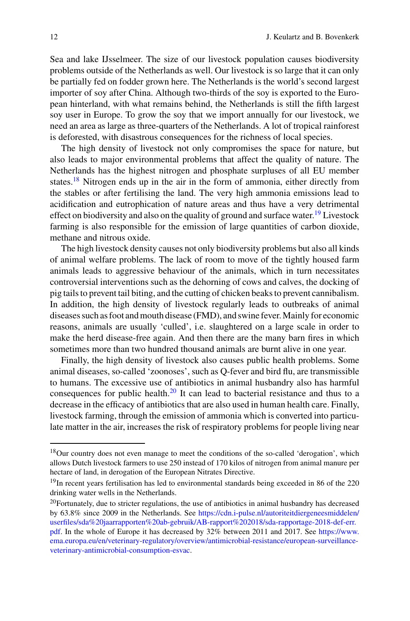Sea and lake IJsselmeer. The size of our livestock population causes biodiversity problems outside of the Netherlands as well. Our livestock is so large that it can only be partially fed on fodder grown here. The Netherlands is the world's second largest importer of soy after China. Although two-thirds of the soy is exported to the European hinterland, with what remains behind, the Netherlands is still the fifth largest soy user in Europe. To grow the soy that we import annually for our livestock, we need an area as large as three-quarters of the Netherlands. A lot of tropical rainforest is deforested, with disastrous consequences for the richness of local species.

The high density of livestock not only compromises the space for nature, but also leads to major environmental problems that affect the quality of nature. The Netherlands has the highest nitrogen and phosphate surpluses of all EU member states.<sup>18</sup> Nitrogen ends up in the air in the form of ammonia, either directly from the stables or after fertilising the land. The very high ammonia emissions lead to acidification and eutrophication of nature areas and thus have a very detrimental effect on biodiversity and also on the quality of ground and surface water.<sup>[19](#page-11-1)</sup> Livestock farming is also responsible for the emission of large quantities of carbon dioxide, methane and nitrous oxide.

The high livestock density causes not only biodiversity problems but also all kinds of animal welfare problems. The lack of room to move of the tightly housed farm animals leads to aggressive behaviour of the animals, which in turn necessitates controversial interventions such as the dehorning of cows and calves, the docking of pig tails to prevent tail biting, and the cutting of chicken beaks to prevent cannibalism. In addition, the high density of livestock regularly leads to outbreaks of animal diseases such as foot and mouth disease (FMD), and swine fever.Mainly for economic reasons, animals are usually 'culled', i.e. slaughtered on a large scale in order to make the herd disease-free again. And then there are the many barn fires in which sometimes more than two hundred thousand animals are burnt alive in one year.

Finally, the high density of livestock also causes public health problems. Some animal diseases, so-called 'zoonoses', such as Q-fever and bird flu, are transmissible to humans. The excessive use of antibiotics in animal husbandry also has harmful consequences for public health.<sup>20</sup> It can lead to bacterial resistance and thus to a decrease in the efficacy of antibiotics that are also used in human health care. Finally, livestock farming, through the emission of ammonia which is converted into particulate matter in the air, increases the risk of respiratory problems for people living near

<span id="page-11-0"></span><sup>&</sup>lt;sup>18</sup>Our country does not even manage to meet the conditions of the so-called 'derogation', which allows Dutch livestock farmers to use 250 instead of 170 kilos of nitrogen from animal manure per hectare of land, in derogation of the European Nitrates Directive.

<span id="page-11-2"></span><span id="page-11-1"></span><sup>&</sup>lt;sup>19</sup>In recent years fertilisation has led to environmental standards being exceeded in 86 of the 220 drinking water wells in the Netherlands.

 $^{20}$ Fortunately, due to stricter regulations, the use of antibiotics in animal husbandry has decreased by 63.8% since 2009 in the Netherlands. See https://cdn.i-pulse.nl/autoriteitdiergeneesmiddelen/ [userfiles/sda%20jaarrapporten%20ab-gebruik/AB-rapport%202018/sda-rapportage-2018-def-err.](https://cdn.i-pulse.nl/autoriteitdiergeneesmiddelen/userfiles/sda%20jaarrapporten%20ab-gebruik/AB-rapport%202018/sda-rapportage-2018-def-err.pdf) pdf. In the whole of Europe it has decreased by 32% between 2011 and 2017. See https://www.

[ema.europa.eu/en/veterinary-regulatory/overview/antimicrobial-resistance/european-surveillance](https://www.ema.europa.eu/en/veterinary-regulatory/overview/antimicrobial-resistance/european-surveillance-veterinary-antimicrobial-consumption-esvac)veterinary-antimicrobial-consumption-esvac.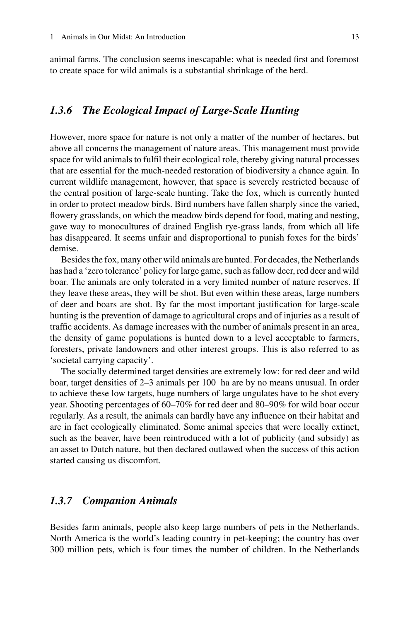animal farms. The conclusion seems inescapable: what is needed first and foremost to create space for wild animals is a substantial shrinkage of the herd.

#### *1.3.6 The Ecological Impact of Large-Scale Hunting*

However, more space for nature is not only a matter of the number of hectares, but above all concerns the management of nature areas. This management must provide space for wild animals to fulfil their ecological role, thereby giving natural processes that are essential for the much-needed restoration of biodiversity a chance again. In current wildlife management, however, that space is severely restricted because of the central position of large-scale hunting. Take the fox, which is currently hunted in order to protect meadow birds. Bird numbers have fallen sharply since the varied, flowery grasslands, on which the meadow birds depend for food, mating and nesting, gave way to monocultures of drained English rye-grass lands, from which all life has disappeared. It seems unfair and disproportional to punish foxes for the birds' demise.

Besides the fox, many other wild animals are hunted. For decades, the Netherlands has had a 'zero tolerance' policy for large game, such as fallow deer, red deer and wild boar. The animals are only tolerated in a very limited number of nature reserves. If they leave these areas, they will be shot. But even within these areas, large numbers of deer and boars are shot. By far the most important justification for large-scale hunting is the prevention of damage to agricultural crops and of injuries as a result of traffic accidents. As damage increases with the number of animals present in an area, the density of game populations is hunted down to a level acceptable to farmers, foresters, private landowners and other interest groups. This is also referred to as 'societal carrying capacity'.

The socially determined target densities are extremely low: for red deer and wild boar, target densities of 2–3 animals per 100 ha are by no means unusual. In order to achieve these low targets, huge numbers of large ungulates have to be shot every year. Shooting percentages of 60–70% for red deer and 80–90% for wild boar occur regularly. As a result, the animals can hardly have any influence on their habitat and are in fact ecologically eliminated. Some animal species that were locally extinct, such as the beaver, have been reintroduced with a lot of publicity (and subsidy) as an asset to Dutch nature, but then declared outlawed when the success of this action started causing us discomfort.

#### *1.3.7 Companion Animals*

Besides farm animals, people also keep large numbers of pets in the Netherlands. North America is the world's leading country in pet-keeping; the country has over 300 million pets, which is four times the number of children. In the Netherlands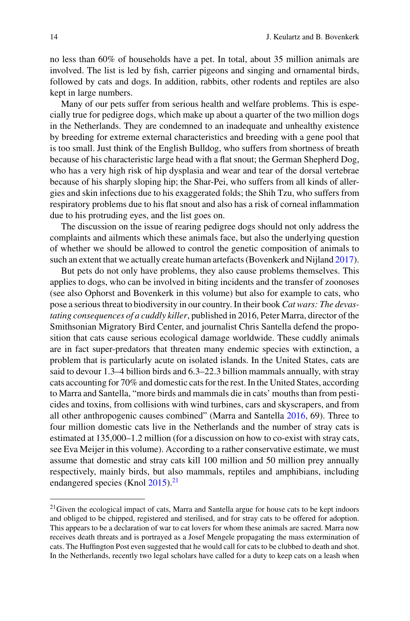no less than 60% of households have a pet. In total, about 35 million animals are involved. The list is led by fish, carrier pigeons and singing and ornamental birds, followed by cats and dogs. In addition, rabbits, other rodents and reptiles are also kept in large numbers.

Many of our pets suffer from serious health and welfare problems. This is especially true for pedigree dogs, which make up about a quarter of the two million dogs in the Netherlands. They are condemned to an inadequate and unhealthy existence by breeding for extreme external characteristics and breeding with a gene pool that is too small. Just think of the English Bulldog, who suffers from shortness of breath because of his characteristic large head with a flat snout; the German Shepherd Dog, who has a very high risk of hip dysplasia and wear and tear of the dorsal vertebrae because of his sharply sloping hip; the Shar-Pei, who suffers from all kinds of allergies and skin infections due to his exaggerated folds; the Shih Tzu, who suffers from respiratory problems due to his flat snout and also has a risk of corneal inflammation due to his protruding eyes, and the list goes on.

The discussion on the issue of rearing pedigree dogs should not only address the complaints and ailments which these animals face, but also the underlying question of whether we should be allowed to control the genetic composition of animals to such an extent that we actually create human artefacts (Bovenkerk and Nijland [2017\)](#page-22-8).

But pets do not only have problems, they also cause problems themselves. This applies to dogs, who can be involved in biting incidents and the transfer of zoonoses (see also Ophorst and Bovenkerk in this volume) but also for example to cats, who pose a serious threat to biodiversity in our country. In their book *Cat wars: The devastating consequences of a cuddly killer*, published in 2016, Peter Marra, director of the Smithsonian Migratory Bird Center, and journalist Chris Santella defend the proposition that cats cause serious ecological damage worldwide. These cuddly animals are in fact super-predators that threaten many endemic species with extinction, a problem that is particularly acute on isolated islands. In the United States, cats are said to devour 1.3–4 billion birds and 6.3–22.3 billion mammals annually, with stray cats accounting for 70% and domestic cats for the rest. In the United States, according to Marra and Santella, "more birds and mammals die in cats' mouths than from pesticides and toxins, from collisions with wind turbines, cars and skyscrapers, and from all other anthropogenic causes combined" (Marra and Santella [2016,](#page-23-19) 69). Three to four million domestic cats live in the Netherlands and the number of stray cats is estimated at 135,000–1.2 million (for a discussion on how to co-exist with stray cats, see Eva Meijer in this volume). According to a rather conservative estimate, we must assume that domestic and stray cats kill 100 million and 50 million prey annually respectively, mainly birds, but also mammals, reptiles and amphibians, including endangered species (Knol [2015\)](#page-23-20).<sup>[21](#page-13-0)</sup>

<span id="page-13-0"></span> $21$  Given the ecological impact of cats, Marra and Santella argue for house cats to be kept indoors and obliged to be chipped, registered and sterilised, and for stray cats to be offered for adoption. This appears to be a declaration of war to cat lovers for whom these animals are sacred. Marra now receives death threats and is portrayed as a Josef Mengele propagating the mass extermination of cats. The Huffington Post even suggested that he would call for cats to be clubbed to death and shot. In the Netherlands, recently two legal scholars have called for a duty to keep cats on a leash when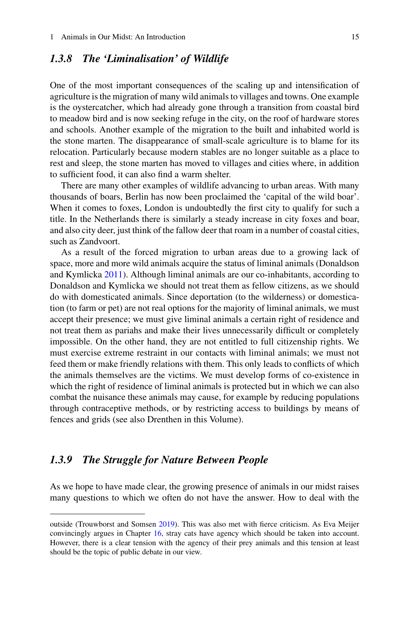## *1.3.8 The 'Liminalisation' of Wildlife*

One of the most important consequences of the scaling up and intensification of agriculture is the migration of many wild animals to villages and towns. One example is the oystercatcher, which had already gone through a transition from coastal bird to meadow bird and is now seeking refuge in the city, on the roof of hardware stores and schools. Another example of the migration to the built and inhabited world is the stone marten. The disappearance of small-scale agriculture is to blame for its relocation. Particularly because modern stables are no longer suitable as a place to rest and sleep, the stone marten has moved to villages and cities where, in addition to sufficient food, it can also find a warm shelter.

There are many other examples of wildlife advancing to urban areas. With many thousands of boars, Berlin has now been proclaimed the 'capital of the wild boar'. When it comes to foxes, London is undoubtedly the first city to qualify for such a title. In the Netherlands there is similarly a steady increase in city foxes and boar, and also city deer, just think of the fallow deer that roam in a number of coastal cities, such as Zandvoort.

As a result of the forced migration to urban areas due to a growing lack of space, more and more wild animals acquire the status of liminal animals (Donaldson and Kymlicka [2011\)](#page-22-5). Although liminal animals are our co-inhabitants, according to Donaldson and Kymlicka we should not treat them as fellow citizens, as we should do with domesticated animals. Since deportation (to the wilderness) or domestication (to farm or pet) are not real options for the majority of liminal animals, we must accept their presence; we must give liminal animals a certain right of residence and not treat them as pariahs and make their lives unnecessarily difficult or completely impossible. On the other hand, they are not entitled to full citizenship rights. We must exercise extreme restraint in our contacts with liminal animals; we must not feed them or make friendly relations with them. This only leads to conflicts of which the animals themselves are the victims. We must develop forms of co-existence in which the right of residence of liminal animals is protected but in which we can also combat the nuisance these animals may cause, for example by reducing populations through contraceptive methods, or by restricting access to buildings by means of fences and grids (see also Drenthen in this Volume).

## *1.3.9 The Struggle for Nature Between People*

As we hope to have made clear, the growing presence of animals in our midst raises many questions to which we often do not have the answer. How to deal with the

outside (Trouwborst and Somsen [2019\)](#page-24-3). This was also met with fierce criticism. As Eva Meijer convincingly argues in Chapter 16, stray cats have agency which should be taken into account. However, there is a clear tension with the agency of their prey animals and this tension at least should be the topic of public debate in our view.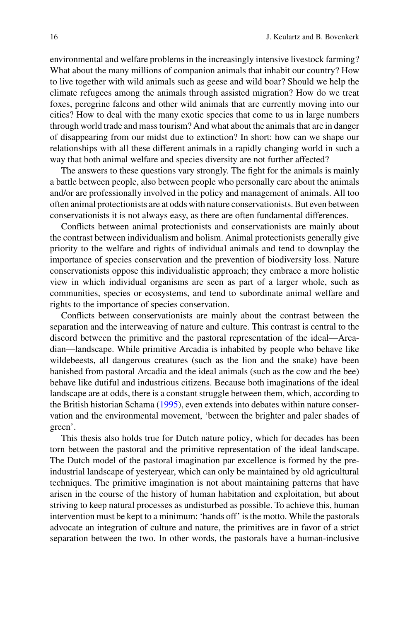environmental and welfare problems in the increasingly intensive livestock farming? What about the many millions of companion animals that inhabit our country? How to live together with wild animals such as geese and wild boar? Should we help the climate refugees among the animals through assisted migration? How do we treat foxes, peregrine falcons and other wild animals that are currently moving into our cities? How to deal with the many exotic species that come to us in large numbers through world trade and mass tourism? And what about the animals that are in danger of disappearing from our midst due to extinction? In short: how can we shape our relationships with all these different animals in a rapidly changing world in such a way that both animal welfare and species diversity are not further affected?

The answers to these questions vary strongly. The fight for the animals is mainly a battle between people, also between people who personally care about the animals and/or are professionally involved in the policy and management of animals. All too often animal protectionists are at odds with nature conservationists. But even between conservationists it is not always easy, as there are often fundamental differences.

Conflicts between animal protectionists and conservationists are mainly about the contrast between individualism and holism. Animal protectionists generally give priority to the welfare and rights of individual animals and tend to downplay the importance of species conservation and the prevention of biodiversity loss. Nature conservationists oppose this individualistic approach; they embrace a more holistic view in which individual organisms are seen as part of a larger whole, such as communities, species or ecosystems, and tend to subordinate animal welfare and rights to the importance of species conservation.

Conflicts between conservationists are mainly about the contrast between the separation and the interweaving of nature and culture. This contrast is central to the discord between the primitive and the pastoral representation of the ideal—Arcadian—landscape. While primitive Arcadia is inhabited by people who behave like wildebeests, all dangerous creatures (such as the lion and the snake) have been banished from pastoral Arcadia and the ideal animals (such as the cow and the bee) behave like dutiful and industrious citizens. Because both imaginations of the ideal landscape are at odds, there is a constant struggle between them, which, according to the British historian Schama [\(1995\)](#page-23-21), even extends into debates within nature conservation and the environmental movement, 'between the brighter and paler shades of green'.

This thesis also holds true for Dutch nature policy, which for decades has been torn between the pastoral and the primitive representation of the ideal landscape. The Dutch model of the pastoral imagination par excellence is formed by the preindustrial landscape of yesteryear, which can only be maintained by old agricultural techniques. The primitive imagination is not about maintaining patterns that have arisen in the course of the history of human habitation and exploitation, but about striving to keep natural processes as undisturbed as possible. To achieve this, human intervention must be kept to a minimum: 'hands off' is the motto. While the pastorals advocate an integration of culture and nature, the primitives are in favor of a strict separation between the two. In other words, the pastorals have a human-inclusive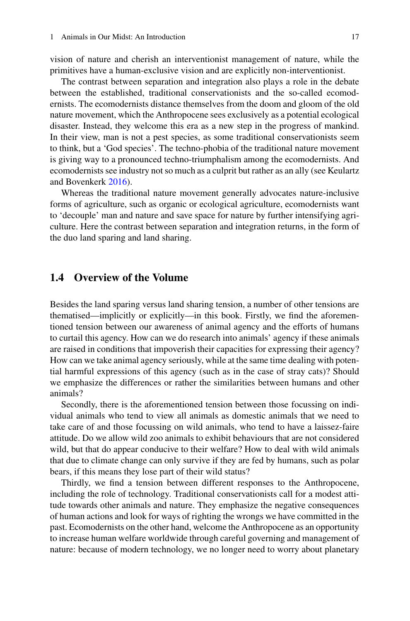vision of nature and cherish an interventionist management of nature, while the primitives have a human-exclusive vision and are explicitly non-interventionist.

The contrast between separation and integration also plays a role in the debate between the established, traditional conservationists and the so-called ecomodernists. The ecomodernists distance themselves from the doom and gloom of the old nature movement, which the Anthropocene sees exclusively as a potential ecological disaster. Instead, they welcome this era as a new step in the progress of mankind. In their view, man is not a pest species, as some traditional conservationists seem to think, but a 'God species'. The techno-phobia of the traditional nature movement is giving way to a pronounced techno-triumphalism among the ecomodernists. And ecomodernists see industry not so much as a culprit but rather as an ally (see Keulartz and Bovenkerk [2016\)](#page-23-22).

Whereas the traditional nature movement generally advocates nature-inclusive forms of agriculture, such as organic or ecological agriculture, ecomodernists want to 'decouple' man and nature and save space for nature by further intensifying agriculture. Here the contrast between separation and integration returns, in the form of the duo land sparing and land sharing.

#### **1.4 Overview of the Volume**

Besides the land sparing versus land sharing tension, a number of other tensions are thematised—implicitly or explicitly—in this book. Firstly, we find the aforementioned tension between our awareness of animal agency and the efforts of humans to curtail this agency. How can we do research into animals' agency if these animals are raised in conditions that impoverish their capacities for expressing their agency? How can we take animal agency seriously, while at the same time dealing with potential harmful expressions of this agency (such as in the case of stray cats)? Should we emphasize the differences or rather the similarities between humans and other animals?

Secondly, there is the aforementioned tension between those focussing on individual animals who tend to view all animals as domestic animals that we need to take care of and those focussing on wild animals, who tend to have a laissez-faire attitude. Do we allow wild zoo animals to exhibit behaviours that are not considered wild, but that do appear conducive to their welfare? How to deal with wild animals that due to climate change can only survive if they are fed by humans, such as polar bears, if this means they lose part of their wild status?

Thirdly, we find a tension between different responses to the Anthropocene, including the role of technology. Traditional conservationists call for a modest attitude towards other animals and nature. They emphasize the negative consequences of human actions and look for ways of righting the wrongs we have committed in the past. Ecomodernists on the other hand, welcome the Anthropocene as an opportunity to increase human welfare worldwide through careful governing and management of nature: because of modern technology, we no longer need to worry about planetary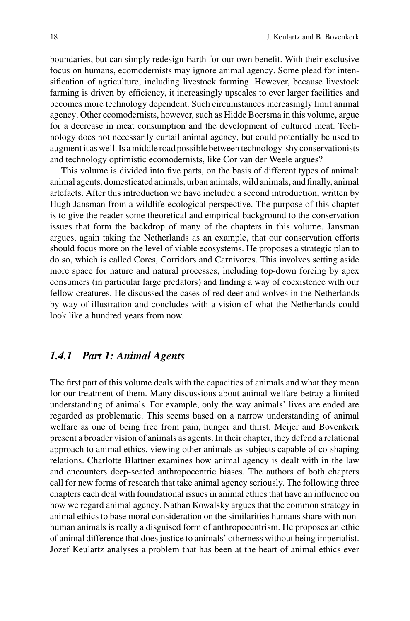boundaries, but can simply redesign Earth for our own benefit. With their exclusive focus on humans, ecomodernists may ignore animal agency. Some plead for intensification of agriculture, including livestock farming. However, because livestock farming is driven by efficiency, it increasingly upscales to ever larger facilities and becomes more technology dependent. Such circumstances increasingly limit animal agency. Other ecomodernists, however, such as Hidde Boersma in this volume, argue for a decrease in meat consumption and the development of cultured meat. Technology does not necessarily curtail animal agency, but could potentially be used to augment it as well. Is a middle road possible between technology-shy conservationists and technology optimistic ecomodernists, like Cor van der Weele argues?

This volume is divided into five parts, on the basis of different types of animal: animal agents, domesticated animals, urban animals, wild animals, and finally, animal artefacts. After this introduction we have included a second introduction, written by Hugh Jansman from a wildlife-ecological perspective. The purpose of this chapter is to give the reader some theoretical and empirical background to the conservation issues that form the backdrop of many of the chapters in this volume. Jansman argues, again taking the Netherlands as an example, that our conservation efforts should focus more on the level of viable ecosystems. He proposes a strategic plan to do so, which is called Cores, Corridors and Carnivores. This involves setting aside more space for nature and natural processes, including top-down forcing by apex consumers (in particular large predators) and finding a way of coexistence with our fellow creatures. He discussed the cases of red deer and wolves in the Netherlands by way of illustration and concludes with a vision of what the Netherlands could look like a hundred years from now.

#### *1.4.1 Part 1: Animal Agents*

The first part of this volume deals with the capacities of animals and what they mean for our treatment of them. Many discussions about animal welfare betray a limited understanding of animals. For example, only the way animals' lives are ended are regarded as problematic. This seems based on a narrow understanding of animal welfare as one of being free from pain, hunger and thirst. Meijer and Bovenkerk present a broader vision of animals as agents. In their chapter, they defend a relational approach to animal ethics, viewing other animals as subjects capable of co-shaping relations. Charlotte Blattner examines how animal agency is dealt with in the law and encounters deep-seated anthropocentric biases. The authors of both chapters call for new forms of research that take animal agency seriously. The following three chapters each deal with foundational issues in animal ethics that have an influence on how we regard animal agency. Nathan Kowalsky argues that the common strategy in animal ethics to base moral consideration on the similarities humans share with nonhuman animals is really a disguised form of anthropocentrism. He proposes an ethic of animal difference that does justice to animals' otherness without being imperialist. Jozef Keulartz analyses a problem that has been at the heart of animal ethics ever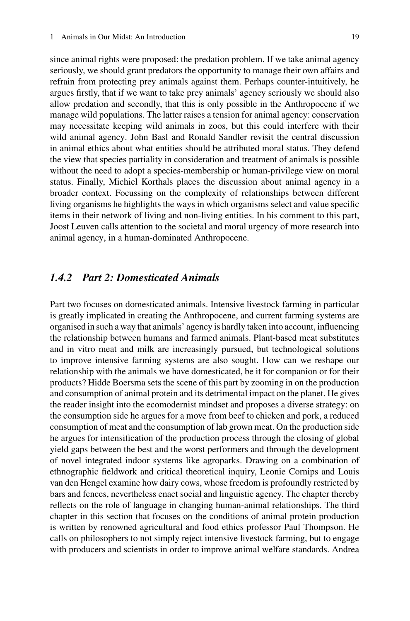since animal rights were proposed: the predation problem. If we take animal agency seriously, we should grant predators the opportunity to manage their own affairs and refrain from protecting prey animals against them. Perhaps counter-intuitively, he argues firstly, that if we want to take prey animals' agency seriously we should also allow predation and secondly, that this is only possible in the Anthropocene if we manage wild populations. The latter raises a tension for animal agency: conservation may necessitate keeping wild animals in zoos, but this could interfere with their wild animal agency. John Basl and Ronald Sandler revisit the central discussion in animal ethics about what entities should be attributed moral status. They defend the view that species partiality in consideration and treatment of animals is possible without the need to adopt a species-membership or human-privilege view on moral status. Finally, Michiel Korthals places the discussion about animal agency in a broader context. Focussing on the complexity of relationships between different living organisms he highlights the ways in which organisms select and value specific items in their network of living and non-living entities. In his comment to this part, Joost Leuven calls attention to the societal and moral urgency of more research into animal agency, in a human-dominated Anthropocene.

#### *1.4.2 Part 2: Domesticated Animals*

Part two focuses on domesticated animals. Intensive livestock farming in particular is greatly implicated in creating the Anthropocene, and current farming systems are organised in such a way that animals' agency is hardly taken into account, influencing the relationship between humans and farmed animals. Plant-based meat substitutes and in vitro meat and milk are increasingly pursued, but technological solutions to improve intensive farming systems are also sought. How can we reshape our relationship with the animals we have domesticated, be it for companion or for their products? Hidde Boersma sets the scene of this part by zooming in on the production and consumption of animal protein and its detrimental impact on the planet. He gives the reader insight into the ecomodernist mindset and proposes a diverse strategy: on the consumption side he argues for a move from beef to chicken and pork, a reduced consumption of meat and the consumption of lab grown meat. On the production side he argues for intensification of the production process through the closing of global yield gaps between the best and the worst performers and through the development of novel integrated indoor systems like agroparks. Drawing on a combination of ethnographic fieldwork and critical theoretical inquiry, Leonie Cornips and Louis van den Hengel examine how dairy cows, whose freedom is profoundly restricted by bars and fences, nevertheless enact social and linguistic agency. The chapter thereby reflects on the role of language in changing human-animal relationships. The third chapter in this section that focuses on the conditions of animal protein production is written by renowned agricultural and food ethics professor Paul Thompson. He calls on philosophers to not simply reject intensive livestock farming, but to engage with producers and scientists in order to improve animal welfare standards. Andrea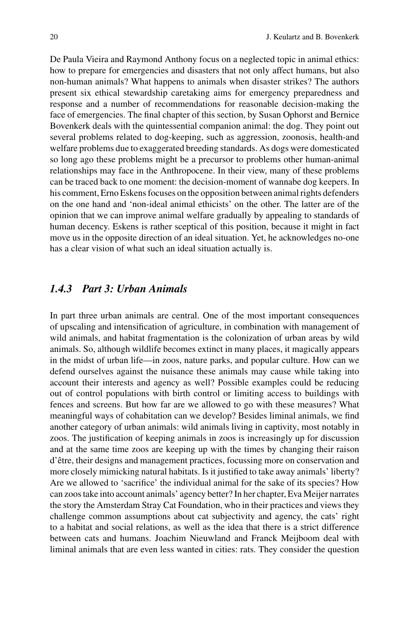De Paula Vieira and Raymond Anthony focus on a neglected topic in animal ethics: how to prepare for emergencies and disasters that not only affect humans, but also non-human animals? What happens to animals when disaster strikes? The authors present six ethical stewardship caretaking aims for emergency preparedness and response and a number of recommendations for reasonable decision-making the face of emergencies. The final chapter of this section, by Susan Ophorst and Bernice Bovenkerk deals with the quintessential companion animal: the dog. They point out several problems related to dog-keeping, such as aggression, zoonosis, health-and welfare problems due to exaggerated breeding standards. As dogs were domesticated so long ago these problems might be a precursor to problems other human-animal relationships may face in the Anthropocene. In their view, many of these problems can be traced back to one moment: the decision-moment of wannabe dog keepers. In his comment, Erno Eskens focuses on the opposition between animal rights defenders on the one hand and 'non-ideal animal ethicists' on the other. The latter are of the opinion that we can improve animal welfare gradually by appealing to standards of human decency. Eskens is rather sceptical of this position, because it might in fact move us in the opposite direction of an ideal situation. Yet, he acknowledges no-one has a clear vision of what such an ideal situation actually is.

## *1.4.3 Part 3: Urban Animals*

In part three urban animals are central. One of the most important consequences of upscaling and intensification of agriculture, in combination with management of wild animals, and habitat fragmentation is the colonization of urban areas by wild animals. So, although wildlife becomes extinct in many places, it magically appears in the midst of urban life—in zoos, nature parks, and popular culture. How can we defend ourselves against the nuisance these animals may cause while taking into account their interests and agency as well? Possible examples could be reducing out of control populations with birth control or limiting access to buildings with fences and screens. But how far are we allowed to go with these measures? What meaningful ways of cohabitation can we develop? Besides liminal animals, we find another category of urban animals: wild animals living in captivity, most notably in zoos. The justification of keeping animals in zoos is increasingly up for discussion and at the same time zoos are keeping up with the times by changing their raison d'être, their designs and management practices, focussing more on conservation and more closely mimicking natural habitats. Is it justified to take away animals' liberty? Are we allowed to 'sacrifice' the individual animal for the sake of its species? How can zoos take into account animals' agency better? In her chapter, Eva Meijer narrates the story the Amsterdam Stray Cat Foundation, who in their practices and views they challenge common assumptions about cat subjectivity and agency, the cats' right to a habitat and social relations, as well as the idea that there is a strict difference between cats and humans. Joachim Nieuwland and Franck Meijboom deal with liminal animals that are even less wanted in cities: rats. They consider the question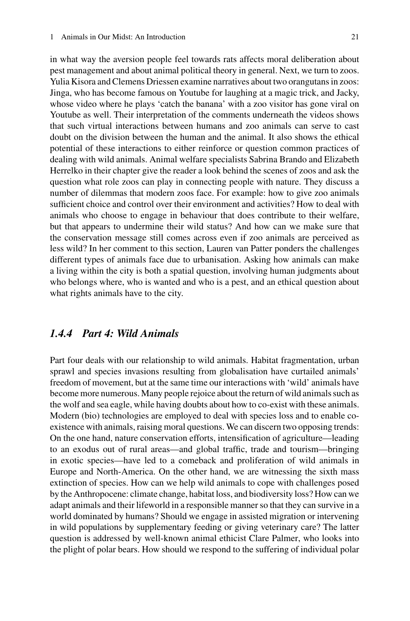in what way the aversion people feel towards rats affects moral deliberation about pest management and about animal political theory in general. Next, we turn to zoos. Yulia Kisora and Clemens Driessen examine narratives about two orangutans in zoos: Jinga, who has become famous on Youtube for laughing at a magic trick, and Jacky, whose video where he plays 'catch the banana' with a zoo visitor has gone viral on Youtube as well. Their interpretation of the comments underneath the videos shows that such virtual interactions between humans and zoo animals can serve to cast doubt on the division between the human and the animal. It also shows the ethical potential of these interactions to either reinforce or question common practices of dealing with wild animals. Animal welfare specialists Sabrina Brando and Elizabeth Herrelko in their chapter give the reader a look behind the scenes of zoos and ask the question what role zoos can play in connecting people with nature. They discuss a number of dilemmas that modern zoos face. For example: how to give zoo animals sufficient choice and control over their environment and activities? How to deal with animals who choose to engage in behaviour that does contribute to their welfare, but that appears to undermine their wild status? And how can we make sure that the conservation message still comes across even if zoo animals are perceived as less wild? In her comment to this section, Lauren van Patter ponders the challenges different types of animals face due to urbanisation. Asking how animals can make a living within the city is both a spatial question, involving human judgments about who belongs where, who is wanted and who is a pest, and an ethical question about what rights animals have to the city.

## *1.4.4 Part 4: Wild Animals*

Part four deals with our relationship to wild animals. Habitat fragmentation, urban sprawl and species invasions resulting from globalisation have curtailed animals' freedom of movement, but at the same time our interactions with 'wild' animals have become more numerous. Many people rejoice about the return of wild animals such as the wolf and sea eagle, while having doubts about how to co-exist with these animals. Modern (bio) technologies are employed to deal with species loss and to enable coexistence with animals, raising moral questions. We can discern two opposing trends: On the one hand, nature conservation efforts, intensification of agriculture—leading to an exodus out of rural areas—and global traffic, trade and tourism—bringing in exotic species—have led to a comeback and proliferation of wild animals in Europe and North-America. On the other hand, we are witnessing the sixth mass extinction of species. How can we help wild animals to cope with challenges posed by the Anthropocene: climate change, habitat loss, and biodiversity loss? How can we adapt animals and their lifeworld in a responsible manner so that they can survive in a world dominated by humans? Should we engage in assisted migration or intervening in wild populations by supplementary feeding or giving veterinary care? The latter question is addressed by well-known animal ethicist Clare Palmer, who looks into the plight of polar bears. How should we respond to the suffering of individual polar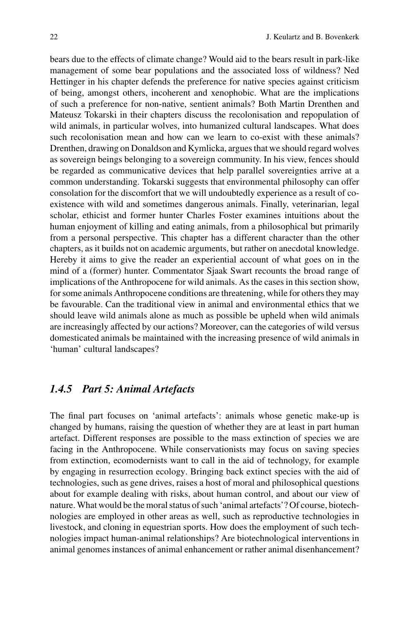bears due to the effects of climate change? Would aid to the bears result in park-like management of some bear populations and the associated loss of wildness? Ned Hettinger in his chapter defends the preference for native species against criticism of being, amongst others, incoherent and xenophobic. What are the implications of such a preference for non-native, sentient animals? Both Martin Drenthen and Mateusz Tokarski in their chapters discuss the recolonisation and repopulation of wild animals, in particular wolves, into humanized cultural landscapes. What does such recolonisation mean and how can we learn to co-exist with these animals? Drenthen, drawing on Donaldson and Kymlicka, argues that we should regard wolves as sovereign beings belonging to a sovereign community. In his view, fences should be regarded as communicative devices that help parallel sovereignties arrive at a common understanding. Tokarski suggests that environmental philosophy can offer consolation for the discomfort that we will undoubtedly experience as a result of coexistence with wild and sometimes dangerous animals. Finally, veterinarian, legal scholar, ethicist and former hunter Charles Foster examines intuitions about the human enjoyment of killing and eating animals, from a philosophical but primarily from a personal perspective. This chapter has a different character than the other chapters, as it builds not on academic arguments, but rather on anecdotal knowledge. Hereby it aims to give the reader an experiential account of what goes on in the mind of a (former) hunter. Commentator Sjaak Swart recounts the broad range of implications of the Anthropocene for wild animals. As the cases in this section show, for some animals Anthropocene conditions are threatening, while for others they may be favourable. Can the traditional view in animal and environmental ethics that we should leave wild animals alone as much as possible be upheld when wild animals are increasingly affected by our actions? Moreover, can the categories of wild versus domesticated animals be maintained with the increasing presence of wild animals in 'human' cultural landscapes?

## *1.4.5 Part 5: Animal Artefacts*

The final part focuses on 'animal artefacts': animals whose genetic make-up is changed by humans, raising the question of whether they are at least in part human artefact. Different responses are possible to the mass extinction of species we are facing in the Anthropocene. While conservationists may focus on saving species from extinction, ecomodernists want to call in the aid of technology, for example by engaging in resurrection ecology. Bringing back extinct species with the aid of technologies, such as gene drives, raises a host of moral and philosophical questions about for example dealing with risks, about human control, and about our view of nature. What would be the moral status of such 'animal artefacts'? Of course, biotechnologies are employed in other areas as well, such as reproductive technologies in livestock, and cloning in equestrian sports. How does the employment of such technologies impact human-animal relationships? Are biotechnological interventions in animal genomes instances of animal enhancement or rather animal disenhancement?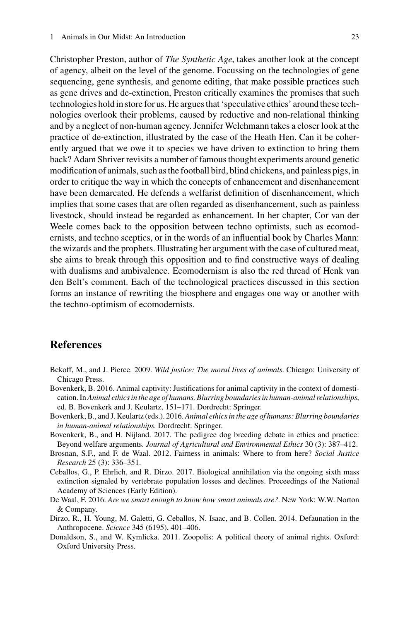Christopher Preston, author of *The Synthetic Age*, takes another look at the concept of agency, albeit on the level of the genome. Focussing on the technologies of gene sequencing, gene synthesis, and genome editing, that make possible practices such as gene drives and de-extinction, Preston critically examines the promises that such technologies hold in store for us. He argues that 'speculative ethics' around these technologies overlook their problems, caused by reductive and non-relational thinking and by a neglect of non-human agency. Jennifer Welchmann takes a closer look at the practice of de-extinction, illustrated by the case of the Heath Hen. Can it be coherently argued that we owe it to species we have driven to extinction to bring them back? Adam Shriver revisits a number of famous thought experiments around genetic modification of animals, such as the football bird, blind chickens, and painless pigs, in order to critique the way in which the concepts of enhancement and disenhancement have been demarcated. He defends a welfarist definition of disenhancement, which implies that some cases that are often regarded as disenhancement, such as painless livestock, should instead be regarded as enhancement. In her chapter, Cor van der Weele comes back to the opposition between techno optimists, such as ecomodernists, and techno sceptics, or in the words of an influential book by Charles Mann: the wizards and the prophets. Illustrating her argument with the case of cultured meat, she aims to break through this opposition and to find constructive ways of dealing with dualisms and ambivalence. Ecomodernism is also the red thread of Henk van den Belt's comment. Each of the technological practices discussed in this section forms an instance of rewriting the biosphere and engages one way or another with the techno-optimism of ecomodernists.

#### **References**

- <span id="page-22-0"></span>Bekoff, M., and J. Pierce. 2009. *Wild justice: The moral lives of animals*. Chicago: University of Chicago Press.
- <span id="page-22-4"></span>Bovenkerk, B. 2016. Animal captivity: Justifications for animal captivity in the context of domestication. In*Animal ethics in the age of humans. Blurring boundaries in human-animal relationships*, ed. B. Bovenkerk and J. Keulartz, 151–171. Dordrecht: Springer.
- <span id="page-22-3"></span>Bovenkerk, B., and J. Keulartz (eds.). 2016. *Animal ethics in the age of humans: Blurring boundaries in human-animal relationships*. Dordrecht: Springer.
- <span id="page-22-8"></span>Bovenkerk, B., and H. Nijland. 2017. The pedigree dog breeding debate in ethics and practice: Beyond welfare arguments. *Journal of Agricultural and Environmental Ethics* 30 (3): 387–412.
- <span id="page-22-1"></span>Brosnan, S.F., and F. de Waal. 2012. Fairness in animals: Where to from here? *Social Justice Research* 25 (3): 336–351.
- <span id="page-22-6"></span>Ceballos, G., P. Ehrlich, and R. Dirzo. 2017. Biological annihilation via the ongoing sixth mass extinction signaled by vertebrate population losses and declines. Proceedings of the National Academy of Sciences (Early Edition).
- <span id="page-22-2"></span>De Waal, F. 2016. *Are we smart enough to know how smart animals are?*. New York: W.W. Norton & Company.
- <span id="page-22-7"></span>Dirzo, R., H. Young, M. Galetti, G. Ceballos, N. Isaac, and B. Collen. 2014. Defaunation in the Anthropocene. *Science* 345 (6195), 401–406.
- <span id="page-22-5"></span>Donaldson, S., and W. Kymlicka. 2011. Zoopolis: A political theory of animal rights. Oxford: Oxford University Press.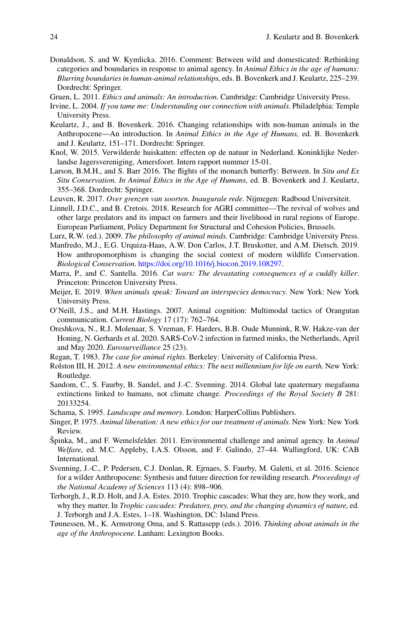- <span id="page-23-12"></span>Donaldson, S. and W. Kymlicka. 2016. Comment: Between wild and domesticated: Rethinking categories and boundaries in response to animal agency. In *Animal Ethics in the age of humans: Blurring boundaries in human-animal relationships*, eds. B. Bovenkerk and J. Keulartz, 225–239. Dordrecht: Springer.
- <span id="page-23-6"></span>Gruen, L. 2011. *Ethics and animals: An introduction*. Cambridge: Cambridge University Press.
- <span id="page-23-2"></span>Irvine, L. 2004. *If you tame me: Understanding our connection with animals*. Philadelphia: Temple University Press.
- <span id="page-23-22"></span>Keulartz, J., and B. Bovenkerk. 2016. Changing relationships with non-human animals in the Anthropocene—An introduction. In *Animal Ethics in the Age of Humans,* ed. B. Bovenkerk and J. Keulartz, 151–171. Dordrecht: Springer.
- <span id="page-23-20"></span>Knol, W. 2015. Verwilderde huiskatten: effecten op de natuur in Nederland. Koninklijke Nederlandse Jagersvereniging, Amersfoort. Intern rapport nummer 15-01.
- <span id="page-23-15"></span>Larson, B.M.H., and S. Barr 2016. The flights of the monarch butterfly: Between. In *Situ and Ex Situ Conservation. In Animal Ethics in the Age of Humans,* ed. B. Bovenkerk and J. Keulartz, 355–368. Dordrecht: Springer.
- <span id="page-23-14"></span>Leuven, R. 2017. *Over grenzen van soorten. Inaugurale rede*. Nijmegen: Radboud Universiteit.
- <span id="page-23-13"></span>Linnell, J.D.C., and B. Cretois. 2018. Research for AGRI committee—The revival of wolves and other large predators and its impact on farmers and their livelihood in rural regions of Europe. European Parliament, Policy Department for Structural and Cohesion Policies, Brussels.
- <span id="page-23-5"></span>Lurz, R.W. (ed.). 2009. *The philosophy of animal minds*. Cambridge: Cambridge University Press.
- <span id="page-23-1"></span>Manfredo, M.J., E.G. Urquiza-Haas, A.W. Don Carlos, J.T. Bruskotter, and A.M. Dietsch. 2019. How anthropomorphism is changing the social context of modern wildlife Conservation. *Biological Conservation*. [https://doi.org/10.1016/j.biocon.2019.108297.](https://doi.org/10.1016/j.biocon.2019.108297)
- <span id="page-23-19"></span>Marra, P., and C. Santella. 2016. *Cat wars: The devastating consequences of a cuddly killer*. Princeton: Princeton University Press.
- <span id="page-23-3"></span>Meijer, E. 2019. *When animals speak: Toward an interspecies democracy*. New York: New York University Press.
- <span id="page-23-4"></span>O'Neill, J.S., and M.H. Hastings. 2007. Animal cognition: Multimodal tactics of Orangutan communication. *Current Biology* 17 (17): 762–764.
- <span id="page-23-0"></span>Oreshkova, N., R.J. Molenaar, S. Vreman, F. Harders, B.B. Oude Munnink, R.W. Hakze-van der Honing, N. Gerhards et al. 2020. SARS-CoV-2 infection in farmed minks, the Netherlands, April and May 2020. *Eurosurveillance* 25 (23).
- <span id="page-23-11"></span>Regan, T. 1983. *The case for animal rights*. Berkeley: University of California Press.
- <span id="page-23-8"></span>Rolston III, H. 2012. *A new environmental ethics: The next millennium for life on earth*. New York: Routledge.
- <span id="page-23-16"></span>Sandom, C., S. Faurby, B. Sandel, and J.-C. Svenning. 2014. Global late quaternary megafauna extinctions linked to humans, not climate change. *Proceedings of the Royal Society B* 281: 20133254.
- <span id="page-23-21"></span>Schama, S. 1995. *Landscape and memory*. London: HarperCollins Publishers.
- <span id="page-23-10"></span>Singer, P. 1975. *Animal liberation: A new ethics for our treatment of animals*. New York: New York Review.
- <span id="page-23-7"></span>Špinka, M., and F. Wemelsfelder. 2011. Environmental challenge and animal agency. In *Animal Welfare*, ed. M.C. Appleby, I.A.S. Olsson, and F. Galindo, 27–44. Wallingford, UK: CAB International.
- <span id="page-23-18"></span>Svenning, J.-C., P. Pedersen, C.J. Donlan, R. Ejrnaes, S. Faurby, M. Galetti, et al. 2016. Science for a wilder Anthropocene: Synthesis and future direction for rewilding research. *Proceedings of the National Academy of Sciences* 113 (4): 898–906.
- <span id="page-23-17"></span>Terborgh, J., R.D. Holt, and J.A. Estes. 2010. Trophic cascades: What they are, how they work, and why they matter. In *Trophic cascades: Predators, prey, and the changing dynamics of nature*, ed. J. Terborgh and J.A. Estes, 1–18. Washington, DC: Island Press.
- <span id="page-23-9"></span>Tønnessen, M., K. Armstrong Oma, and S. Rattasepp (eds.). 2016. *Thinking about animals in the age of the Anthropocene*. Lanham: Lexington Books.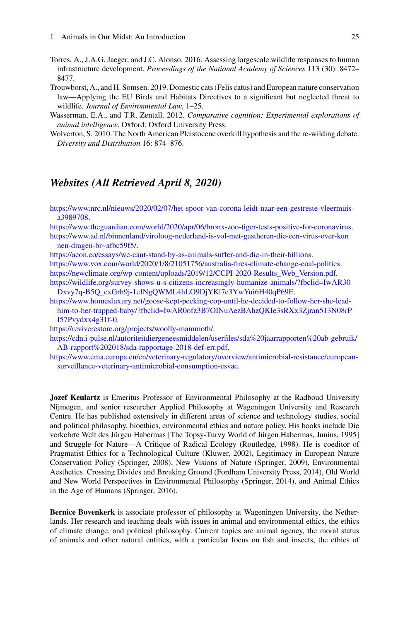- <span id="page-24-1"></span>Torres, A., J.A.G. Jaeger, and J.C. Alonso. 2016. Assessing largescale wildlife responses to human infrastructure development. *Proceedings of the National Academy of Sciences* 113 (30): 8472– 8477.
- <span id="page-24-3"></span>Trouwborst, A., and H. Somsen. 2019. Domestic cats (Felis catus) and European nature conservation law—Applying the EU Birds and Habitats Directives to a significant but neglected threat to wildlife. *Journal of Environmental Law*, 1–25.
- <span id="page-24-0"></span>Wasserman, E.A., and T.R. Zentall. 2012. *Comparative cognition: Experimental explorations of animal intelligence*. Oxford: Oxford University Press.
- <span id="page-24-2"></span>Wolverton, S. 2010. The North American Pleistocene overkill hypothesis and the re-wilding debate. *Diversity and Distribution* 16: 874–876.

#### *Websites (All Retrieved April 8, 2020)*

[https://www.nrc.nl/nieuws/2020/02/07/het-spoor-van-corona-leidt-naar-een-gestreste-vleermuis](https://www.nrc.nl/nieuws/2020/02/07/het-spoor-van-corona-leidt-naar-een-gestreste-vleermuis-a3989708)a3989708.

[https://www.theguardian.com/world/2020/apr/06/bronx-zoo-tiger-tests-positive-for-coronavirus.](https://www.theguardian.com/world/2020/apr/06/bronx-zoo-tiger-tests-positive-for-coronavirus) [https://www.ad.nl/binnenland/viroloog-nederland-is-vol-met-gastheren-die-een-virus-over-kun](https://www.ad.nl/binnenland/viroloog-nederland-is-vol-met-gastheren-die-een-virus-over-kunnen-dragen-br%7eafbc59f5/) nen-dragen-br~afbc59f5/.

[https://aeon.co/essays/we-cant-stand-by-as-animals-suffer-and-die-in-their-billions.](https://aeon.co/essays/we-cant-stand-by-as-animals-suffer-and-die-in-their-billions)

[https://www.vox.com/world/2020/1/8/21051756/australia-fires-climate-change-coal-politics.](https://www.vox.com/world/2020/1/8/21051756/australia-fires-climate-change-coal-politics) [https://newclimate.org/wp-content/uploads/2019/12/CCPI-2020-Results\\_Web\\_Version.pdf.](https://newclimate.org/wp-content/uploads/2019/12/CCPI-2020-Results_Web_Version.pdf)

- [https://wildlife.org/survey-shows-u-s-citizens-increasingly-humanize-animals/?fbclid=IwAR30](https://wildlife.org/survey-shows-u-s-citizens-increasingly-humanize-animals/%3ffbclid%e2%80%89%3d%e2%80%89IwAR30Dxvy7q-B5Q_cxGrh9j-1eINgQWML4hLO9DjYKl7e3YwYui6H40qP69E) Dxvy7q-B5Q\_cxGrh9j-1eINgQWML4hLO9DjYKl7e3YwYui6H40qP69E.
- [https://www.homesluxury.net/goose-kept-pecking-cop-until-he-decided-to-follow-her-she-lead](https://www.homesluxury.net/goose-kept-pecking-cop-until-he-decided-to-follow-her-she-lead-him-to-her-trapped-baby/%3ffbclid%e2%80%89%3d%e2%80%89IwAR0ofz3B7OINuAezBAhzQKIe3sRXx3Zjran513N08rPI57Pvydxx4g31f-0)him-to-her-trapped-baby/?fbclid=IwAR0ofz3B7OINuAezBAhzQKIe3sRXx3Zjran513N08rP I57Pvydxx4g31f-0.

[https://reviverestore.org/projects/woolly-mammoth/.](https://reviverestore.org/projects/woolly-mammoth/)

- [https://cdn.i-pulse.nl/autoriteitdiergeneesmiddelen/userfiles/sda%20jaarrapporten%20ab-gebruik/](https://cdn.i-pulse.nl/autoriteitdiergeneesmiddelen/userfiles/sda%20jaarrapporten%20ab-gebruik/AB-rapport%202018/sda-rapportage-2018-def-err.pdf) AB-rapport%202018/sda-rapportage-2018-def-err.pdf.
- [https://www.ema.europa.eu/en/veterinary-regulatory/overview/antimicrobial-resistance/european](https://www.ema.europa.eu/en/veterinary-regulatory/overview/antimicrobial-resistance/european-surveillance-veterinary-antimicrobial-consumption-esvac)surveillance-veterinary-antimicrobial-consumption-esvac.

**Jozef Keulartz** is Emeritus Professor of Environmental Philosophy at the Radboud University Nijmegen, and senior researcher Applied Philosophy at Wageningen University and Research Centre. He has published extensively in different areas of science and technology studies, social and political philosophy, bioethics, environmental ethics and nature policy. His books include Die verkehrte Welt des Jürgen Habermas [The Topsy-Turvy World of Jürgen Habermas, Junius, 1995] and Struggle for Nature—A Critique of Radical Ecology (Routledge, 1998). He is coeditor of Pragmatist Ethics for a Technological Culture (Kluwer, 2002), Legitimacy in European Nature Conservation Policy (Springer, 2008), New Visions of Nature (Springer, 2009), Environmental Aesthetics. Crossing Divides and Breaking Ground (Fordham University Press, 2014), Old World and New World Perspectives in Environmental Philosophy (Springer, 2014), and Animal Ethics in the Age of Humans (Springer, 2016).

**Bernice Bovenkerk** is associate professor of philosophy at Wageningen University, the Netherlands. Her research and teaching deals with issues in animal and environmental ethics, the ethics of climate change, and political philosophy. Current topics are animal agency, the moral status of animals and other natural entities, with a particular focus on fish and insects, the ethics of